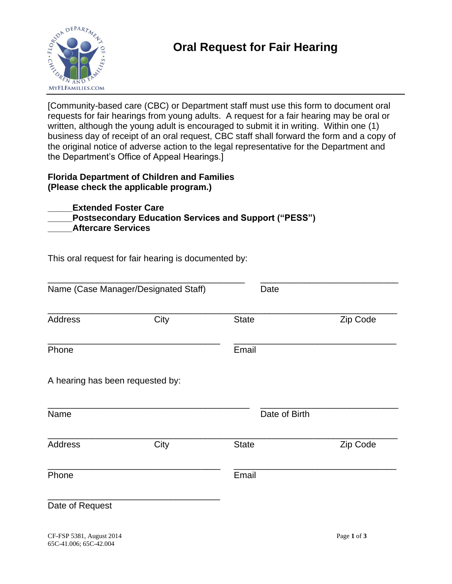

[Community-based care (CBC) or Department staff must use this form to document oral requests for fair hearings from young adults. A request for a fair hearing may be oral or written, although the young adult is encouraged to submit it in writing. Within one (1) business day of receipt of an oral request, CBC staff shall forward the form and a copy of the original notice of adverse action to the legal representative for the Department and the Department's Office of Appeal Hearings.]

## **Florida Department of Children and Families (Please check the applicable program.)**

**\_\_\_\_\_Extended Foster Care Postsecondary Education Services and Support ("PESS") \_\_\_\_\_Aftercare Services** 

This oral request for fair hearing is documented by:

|                                  | Name (Case Manager/Designated Staff) | Date          |          |
|----------------------------------|--------------------------------------|---------------|----------|
| <b>Address</b>                   | City                                 | <b>State</b>  | Zip Code |
| Phone                            |                                      | Email         |          |
| A hearing has been requested by: |                                      |               |          |
| Name                             |                                      | Date of Birth |          |
| <b>Address</b>                   | City                                 | <b>State</b>  | Zip Code |
| Phone                            |                                      | Email         |          |
| Date of Request                  |                                      |               |          |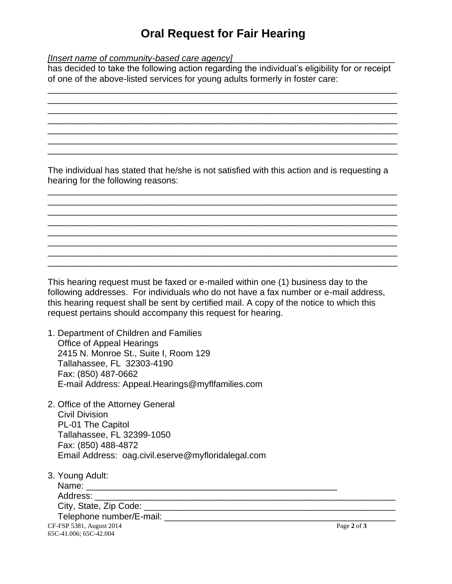## **Oral Request for Fair Hearing**

*[Insert name of community-based care agency]* 

has decided to take the following action regarding the individual's eligibility for or receipt of one of the above-listed services for young adults formerly in foster care:

\_\_\_\_\_\_\_\_\_\_\_\_\_\_\_\_\_\_\_\_\_\_\_\_\_\_\_\_\_\_\_\_\_\_\_\_\_\_\_\_\_\_\_\_\_\_\_\_\_\_\_\_\_\_\_\_\_\_\_\_\_\_\_\_\_\_\_\_\_\_\_ \_\_\_\_\_\_\_\_\_\_\_\_\_\_\_\_\_\_\_\_\_\_\_\_\_\_\_\_\_\_\_\_\_\_\_\_\_\_\_\_\_\_\_\_\_\_\_\_\_\_\_\_\_\_\_\_\_\_\_\_\_\_\_\_\_\_\_\_\_\_\_ \_\_\_\_\_\_\_\_\_\_\_\_\_\_\_\_\_\_\_\_\_\_\_\_\_\_\_\_\_\_\_\_\_\_\_\_\_\_\_\_\_\_\_\_\_\_\_\_\_\_\_\_\_\_\_\_\_\_\_\_\_\_\_\_\_\_\_\_\_\_\_ \_\_\_\_\_\_\_\_\_\_\_\_\_\_\_\_\_\_\_\_\_\_\_\_\_\_\_\_\_\_\_\_\_\_\_\_\_\_\_\_\_\_\_\_\_\_\_\_\_\_\_\_\_\_\_\_\_\_\_\_\_\_\_\_\_\_\_\_\_\_\_ \_\_\_\_\_\_\_\_\_\_\_\_\_\_\_\_\_\_\_\_\_\_\_\_\_\_\_\_\_\_\_\_\_\_\_\_\_\_\_\_\_\_\_\_\_\_\_\_\_\_\_\_\_\_\_\_\_\_\_\_\_\_\_\_\_\_\_\_\_\_\_ \_\_\_\_\_\_\_\_\_\_\_\_\_\_\_\_\_\_\_\_\_\_\_\_\_\_\_\_\_\_\_\_\_\_\_\_\_\_\_\_\_\_\_\_\_\_\_\_\_\_\_\_\_\_\_\_\_\_\_\_\_\_\_\_\_\_\_\_\_\_\_ \_\_\_\_\_\_\_\_\_\_\_\_\_\_\_\_\_\_\_\_\_\_\_\_\_\_\_\_\_\_\_\_\_\_\_\_\_\_\_\_\_\_\_\_\_\_\_\_\_\_\_\_\_\_\_\_\_\_\_\_\_\_\_\_\_\_\_\_\_\_\_

The individual has stated that he/she is not satisfied with this action and is requesting a hearing for the following reasons:

\_\_\_\_\_\_\_\_\_\_\_\_\_\_\_\_\_\_\_\_\_\_\_\_\_\_\_\_\_\_\_\_\_\_\_\_\_\_\_\_\_\_\_\_\_\_\_\_\_\_\_\_\_\_\_\_\_\_\_\_\_\_\_\_\_\_\_\_\_\_\_ \_\_\_\_\_\_\_\_\_\_\_\_\_\_\_\_\_\_\_\_\_\_\_\_\_\_\_\_\_\_\_\_\_\_\_\_\_\_\_\_\_\_\_\_\_\_\_\_\_\_\_\_\_\_\_\_\_\_\_\_\_\_\_\_\_\_\_\_\_\_\_ \_\_\_\_\_\_\_\_\_\_\_\_\_\_\_\_\_\_\_\_\_\_\_\_\_\_\_\_\_\_\_\_\_\_\_\_\_\_\_\_\_\_\_\_\_\_\_\_\_\_\_\_\_\_\_\_\_\_\_\_\_\_\_\_\_\_\_\_\_\_\_ \_\_\_\_\_\_\_\_\_\_\_\_\_\_\_\_\_\_\_\_\_\_\_\_\_\_\_\_\_\_\_\_\_\_\_\_\_\_\_\_\_\_\_\_\_\_\_\_\_\_\_\_\_\_\_\_\_\_\_\_\_\_\_\_\_\_\_\_\_\_\_ \_\_\_\_\_\_\_\_\_\_\_\_\_\_\_\_\_\_\_\_\_\_\_\_\_\_\_\_\_\_\_\_\_\_\_\_\_\_\_\_\_\_\_\_\_\_\_\_\_\_\_\_\_\_\_\_\_\_\_\_\_\_\_\_\_\_\_\_\_\_\_ \_\_\_\_\_\_\_\_\_\_\_\_\_\_\_\_\_\_\_\_\_\_\_\_\_\_\_\_\_\_\_\_\_\_\_\_\_\_\_\_\_\_\_\_\_\_\_\_\_\_\_\_\_\_\_\_\_\_\_\_\_\_\_\_\_\_\_\_\_\_\_ \_\_\_\_\_\_\_\_\_\_\_\_\_\_\_\_\_\_\_\_\_\_\_\_\_\_\_\_\_\_\_\_\_\_\_\_\_\_\_\_\_\_\_\_\_\_\_\_\_\_\_\_\_\_\_\_\_\_\_\_\_\_\_\_\_\_\_\_\_\_\_ \_\_\_\_\_\_\_\_\_\_\_\_\_\_\_\_\_\_\_\_\_\_\_\_\_\_\_\_\_\_\_\_\_\_\_\_\_\_\_\_\_\_\_\_\_\_\_\_\_\_\_\_\_\_\_\_\_\_\_\_\_\_\_\_\_\_\_\_\_\_\_

This hearing request must be faxed or e-mailed within one (1) business day to the following addresses. For individuals who do not have a fax number or e-mail address, this hearing request shall be sent by certified mail. A copy of the notice to which this request pertains should accompany this request for hearing.

1. Department of Children and Families Office of Appeal Hearings 2415 N. Monroe St., Suite I, Room 129 Tallahassee, FL 32303-4190 Fax: (850) 487-0662 E-mail Address: Appeal.Hearings@myflfamilies.com

2. Office of the Attorney General Civil Division PL-01 The Capitol Tallahassee, FL 32399-1050 Fax: (850) 488-4872 Email Address: [oag.civil.eserve@myfloridalegal.com](mailto:oag.civil.eserve@myfloridalegal.com)

CF-FSP 5381, August 2014 Page **2** of **3** 65C-41.006; 65C-42.004 3. Young Adult: Name:  $\blacksquare$ Address: City, State, Zip Code: \_\_\_\_\_\_\_\_\_\_\_\_\_\_\_\_\_\_\_\_\_\_\_\_\_\_\_\_\_\_\_\_\_\_\_\_\_\_\_\_\_\_\_\_\_\_\_\_\_\_\_ Telephone number/E-mail: **Example 10** and the contract of the contract of the contract of the contract of the contract of the contract of the contract of the contract of the contract of the contract of the contract of the